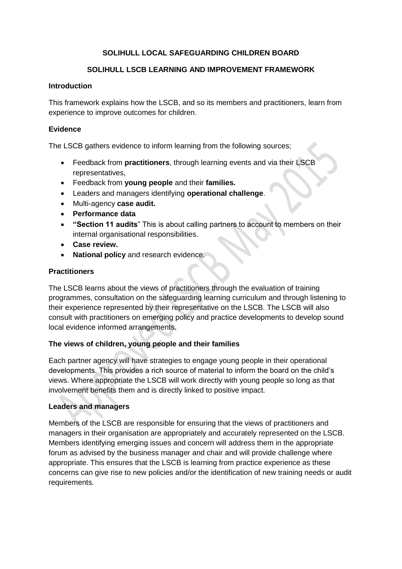## **SOLIHULL LOCAL SAFEGUARDING CHILDREN BOARD**

## **SOLIHULL LSCB LEARNING AND IMPROVEMENT FRAMEWORK**

#### **Introduction**

This framework explains how the LSCB, and so its members and practitioners, learn from experience to improve outcomes for children.

#### **Evidence**

The LSCB gathers evidence to inform learning from the following sources;

- Feedback from **practitioners**, through learning events and via their LSCB representatives,
- Feedback from **young people** and their **families.**
- Leaders and managers identifying **operational challenge**.
- Multi-agency **case audit.**
- **Performance data**
- **"Section 11 audits**" This is about calling partners to account to members on their internal organisational responsibilities.
- **Case review.**
- **National policy** and research evidence.

#### **Practitioners**

The LSCB learns about the views of practitioners through the evaluation of training programmes, consultation on the safeguarding learning curriculum and through listening to their experience represented by their representative on the LSCB. The LSCB will also consult with practitioners on emerging policy and practice developments to develop sound local evidence informed arrangements.

#### **The views of children, young people and their families**

Each partner agency will have strategies to engage young people in their operational developments. This provides a rich source of material to inform the board on the child's views. Where appropriate the LSCB will work directly with young people so long as that involvement benefits them and is directly linked to positive impact.

#### **Leaders and managers**

Members of the LSCB are responsible for ensuring that the views of practitioners and managers in their organisation are appropriately and accurately represented on the LSCB. Members identifying emerging issues and concern will address them in the appropriate forum as advised by the business manager and chair and will provide challenge where appropriate. This ensures that the LSCB is learning from practice experience as these concerns can give rise to new policies and/or the identification of new training needs or audit requirements.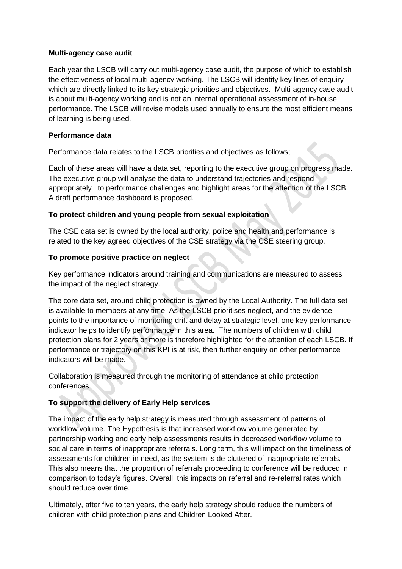### **Multi-agency case audit**

Each year the LSCB will carry out multi-agency case audit, the purpose of which to establish the effectiveness of local multi-agency working. The LSCB will identify key lines of enquiry which are directly linked to its key strategic priorities and objectives. Multi-agency case audit is about multi-agency working and is not an internal operational assessment of in-house performance. The LSCB will revise models used annually to ensure the most efficient means of learning is being used.

### **Performance data**

Performance data relates to the LSCB priorities and objectives as follows;

Each of these areas will have a data set, reporting to the executive group on progress made. The executive group will analyse the data to understand trajectories and respond appropriately to performance challenges and highlight areas for the attention of the LSCB. A draft performance dashboard is proposed.

### **To protect children and young people from sexual exploitation**

The CSE data set is owned by the local authority, police and health and performance is related to the key agreed objectives of the CSE strategy via the CSE steering group.

### **To promote positive practice on neglect**

Key performance indicators around training and communications are measured to assess the impact of the neglect strategy.

The core data set, around child protection is owned by the Local Authority. The full data set is available to members at any time. As the LSCB prioritises neglect, and the evidence points to the importance of monitoring drift and delay at strategic level, one key performance indicator helps to identify performance in this area. The numbers of children with child protection plans for 2 years or more is therefore highlighted for the attention of each LSCB. If performance or trajectory on this KPI is at risk, then further enquiry on other performance indicators will be made.

Collaboration is measured through the monitoring of attendance at child protection conferences.

## **To support the delivery of Early Help services**

The impact of the early help strategy is measured through assessment of patterns of workflow volume. The Hypothesis is that increased workflow volume generated by partnership working and early help assessments results in decreased workflow volume to social care in terms of inappropriate referrals. Long term, this will impact on the timeliness of assessments for children in need, as the system is de-cluttered of inappropriate referrals. This also means that the proportion of referrals proceeding to conference will be reduced in comparison to today's figures. Overall, this impacts on referral and re-referral rates which should reduce over time.

Ultimately, after five to ten years, the early help strategy should reduce the numbers of children with child protection plans and Children Looked After.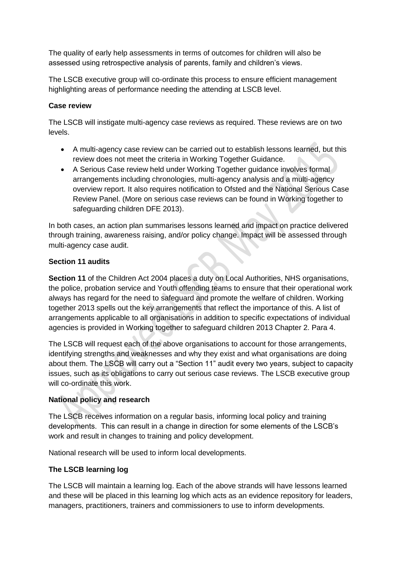The quality of early help assessments in terms of outcomes for children will also be assessed using retrospective analysis of parents, family and children's views.

The LSCB executive group will co-ordinate this process to ensure efficient management highlighting areas of performance needing the attending at LSCB level.

### **Case review**

The LSCB will instigate multi-agency case reviews as required. These reviews are on two levels.

- A multi-agency case review can be carried out to establish lessons learned, but this review does not meet the criteria in Working Together Guidance.
- A Serious Case review held under Working Together guidance involves formal arrangements including chronologies, multi-agency analysis and a multi-agency overview report. It also requires notification to Ofsted and the National Serious Case Review Panel. (More on serious case reviews can be found in Working together to safeguarding children DFE 2013).

In both cases, an action plan summarises lessons learned and impact on practice delivered through training, awareness raising, and/or policy change. Impact will be assessed through multi-agency case audit.

### **Section 11 audits**

**Section 11** of the Children Act 2004 places a duty on Local Authorities, NHS organisations, the police, probation service and Youth offending teams to ensure that their operational work always has regard for the need to safeguard and promote the welfare of children. Working together 2013 spells out the key arrangements that reflect the importance of this. A list of arrangements applicable to all organisations in addition to specific expectations of individual agencies is provided in Working together to safeguard children 2013 Chapter 2. Para 4.

The LSCB will request each of the above organisations to account for those arrangements, identifying strengths and weaknesses and why they exist and what organisations are doing about them. The LSCB will carry out a "Section 11" audit every two years, subject to capacity issues, such as its obligations to carry out serious case reviews. The LSCB executive group will co-ordinate this work.

## **National policy and research**

The LSCB receives information on a regular basis, informing local policy and training developments. This can result in a change in direction for some elements of the LSCB's work and result in changes to training and policy development.

National research will be used to inform local developments.

## **The LSCB learning log**

The LSCB will maintain a learning log. Each of the above strands will have lessons learned and these will be placed in this learning log which acts as an evidence repository for leaders, managers, practitioners, trainers and commissioners to use to inform developments.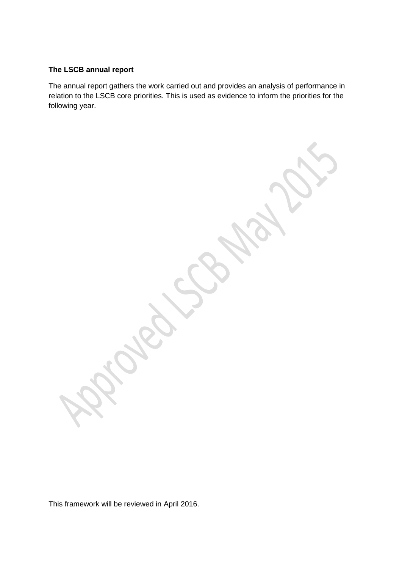# **The LSCB annual report**

The annual report gathers the work carried out and provides an analysis of performance in relation to the LSCB core priorities. This is used as evidence to inform the priorities for the following year.

This framework will be reviewed in April 2016.